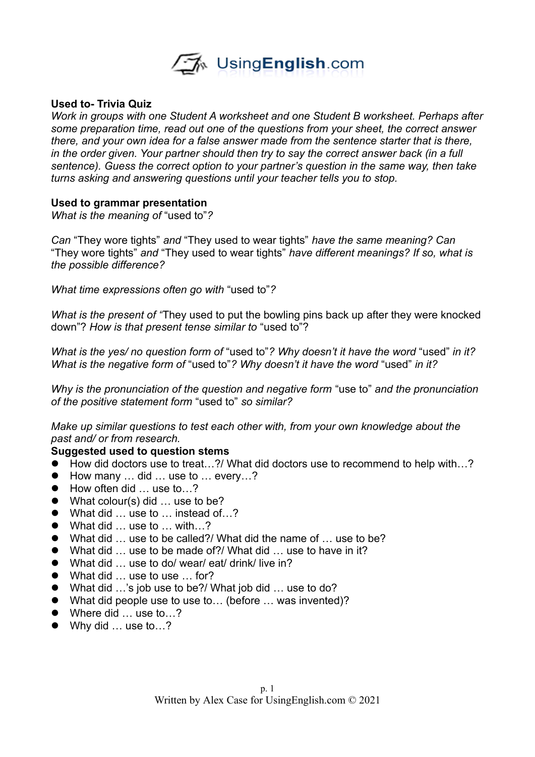

### **Used to- Trivia Quiz**

*Work in groups with one Student A worksheet and one Student B worksheet. Perhaps after some preparation time, read out one of the questions from your sheet, the correct answer there, and your own idea for a false answer made from the sentence starter that is there, in the order given. Your partner should then try to say the correct answer back (in a full sentence). Guess the correct option to your partner's question in the same way, then take turns asking and answering questions until your teacher tells you to stop.* 

#### **Used to grammar presentation**

*What is the meaning of* "used to"*?*

*Can* "They wore tights" *and* "They used to wear tights" *have the same meaning? Can*  "They wore tights" *and* "They used to wear tights" *have different meanings? If so, what is the possible difference?*

*What time expressions often go with* "used to"*?*

*What is the present of "*They used to put the bowling pins back up after they were knocked down"? *How is that present tense similar to* "used to"?

*What is the yes/ no question form of* "used to"*? Why doesn't it have the word* "used" *in it? What is the negative form of* "used to"*? Why doesn't it have the word* "used" *in it?*

*Why is the pronunciation of the question and negative form* "use to" *and the pronunciation of the positive statement form* "used to" *so similar?*

*Make up similar questions to test each other with, from your own knowledge about the past and/ or from research.*

#### **Suggested used to question stems**

- How did doctors use to treat...?/ What did doctors use to recommend to help with...?
- How many ... did ... use to ... every...?
- How often did ... use to...?
- What colour(s) did ... use to be?
- What did ... use to ... instead of ...?
- What did ... use to ... with...?
- What did ... use to be called?/ What did the name of ... use to be?
- What did ... use to be made of?/ What did ... use to have in it?
- What did ... use to do/ wear/ eat/ drink/ live in?
- What did ... use to use ... for?
- What did ...'s job use to be?/ What job did ... use to do?
- What did people use to use to... (before ... was invented)?
- Where did ... use to...?
- Why did ... use to...?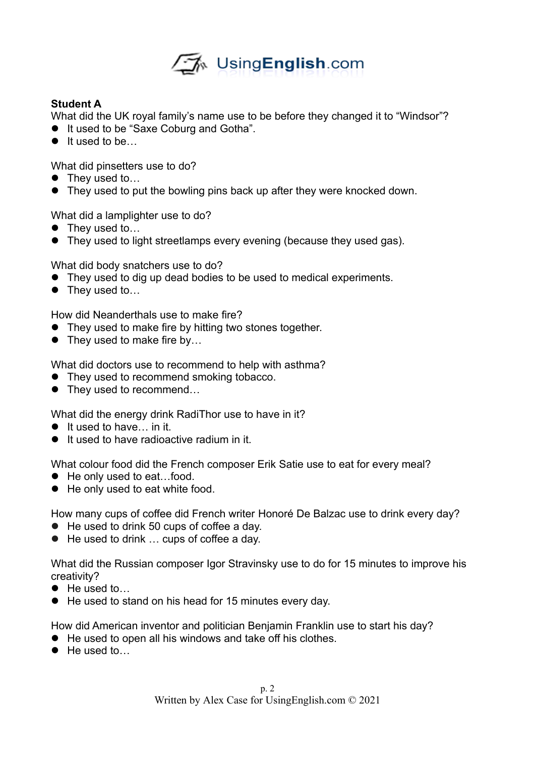

## **Student A**

What did the UK royal family's name use to be before they changed it to "Windsor"?

- $\bullet$  It used to be "Saxe Coburg and Gotha".
- $\bullet$  It used to be...

What did pinsetters use to do?

- They used to...
- They used to put the bowling pins back up after they were knocked down.

What did a lamplighter use to do?

- They used to...
- They used to light streetlamps every evening (because they used gas).

What did body snatchers use to do?

- They used to dig up dead bodies to be used to medical experiments.
- They used to...

How did Neanderthals use to make fire?

- They used to make fire by hitting two stones together.
- They used to make fire by...

What did doctors use to recommend to help with asthma?

- They used to recommend smoking tobacco.
- They used to recommend...

What did the energy drink RadiThor use to have in it?

- $\bullet$  It used to have in it.
- **It used to have radioactive radium in it.**

What colour food did the French composer Erik Satie use to eat for every meal?

- He only used to eat...food.
- He only used to eat white food.

How many cups of coffee did French writer Honoré De Balzac use to drink every day?

- He used to drink 50 cups of coffee a day.
- He used to drink ... cups of coffee a day.

What did the Russian composer Igor Stravinsky use to do for 15 minutes to improve his creativity?

- He used to...
- He used to stand on his head for 15 minutes every day.

How did American inventor and politician Benjamin Franklin use to start his day?

- He used to open all his windows and take off his clothes.
- He used to...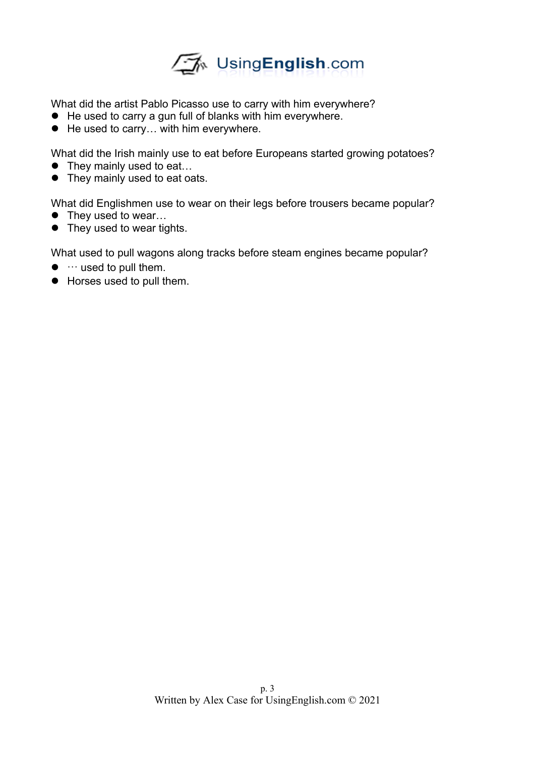

What did the artist Pablo Picasso use to carry with him everywhere?

- He used to carry a gun full of blanks with him everywhere.
- He used to carry... with him everywhere.

What did the Irish mainly use to eat before Europeans started growing potatoes?

- They mainly used to eat...
- They mainly used to eat oats.

What did Englishmen use to wear on their legs before trousers became popular?

- They used to wear...
- They used to wear tights.

What used to pull wagons along tracks before steam engines became popular?

- $\bullet$   $\cdots$  used to pull them.
- Horses used to pull them.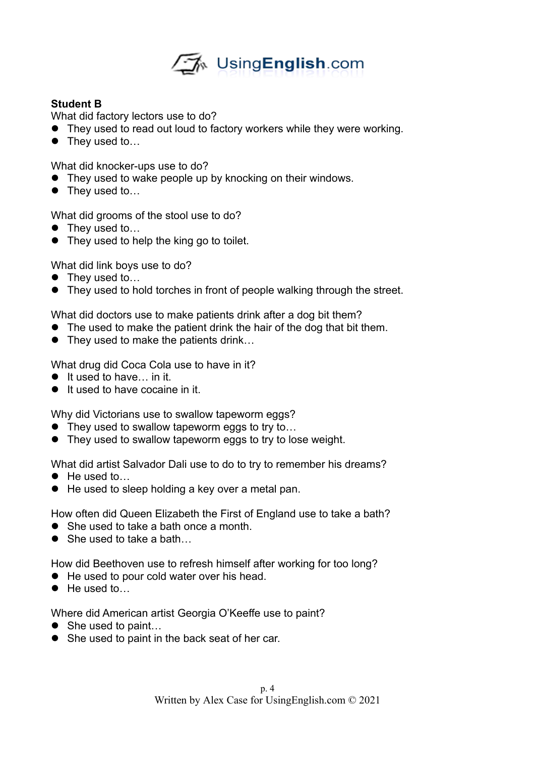

# **Student B**

What did factory lectors use to do?

- They used to read out loud to factory workers while they were working.
- They used to...

What did knocker-ups use to do?

- They used to wake people up by knocking on their windows.
- They used to...

What did grooms of the stool use to do?

- They used to...
- They used to help the king go to toilet.

What did link boys use to do?

- They used to...
- They used to hold torches in front of people walking through the street.

What did doctors use to make patients drink after a dog bit them?

- The used to make the patient drink the hair of the dog that bit them.
- They used to make the patients drink...

What drug did Coca Cola use to have in it?

- $\bullet$  It used to have... in it.
- It used to have cocaine in it.

Why did Victorians use to swallow tapeworm eggs?

- They used to swallow tapeworm eggs to try to...
- They used to swallow tapeworm eggs to try to lose weight.

What did artist Salvador Dali use to do to try to remember his dreams?

- He used to...
- He used to sleep holding a key over a metal pan.

How often did Queen Elizabeth the First of England use to take a bath?

- She used to take a bath once a month.
- She used to take a bath

How did Beethoven use to refresh himself after working for too long?

- He used to pour cold water over his head.
- He used to

Where did American artist Georgia O'Keeffe use to paint?

- She used to paint...
- She used to paint in the back seat of her car.